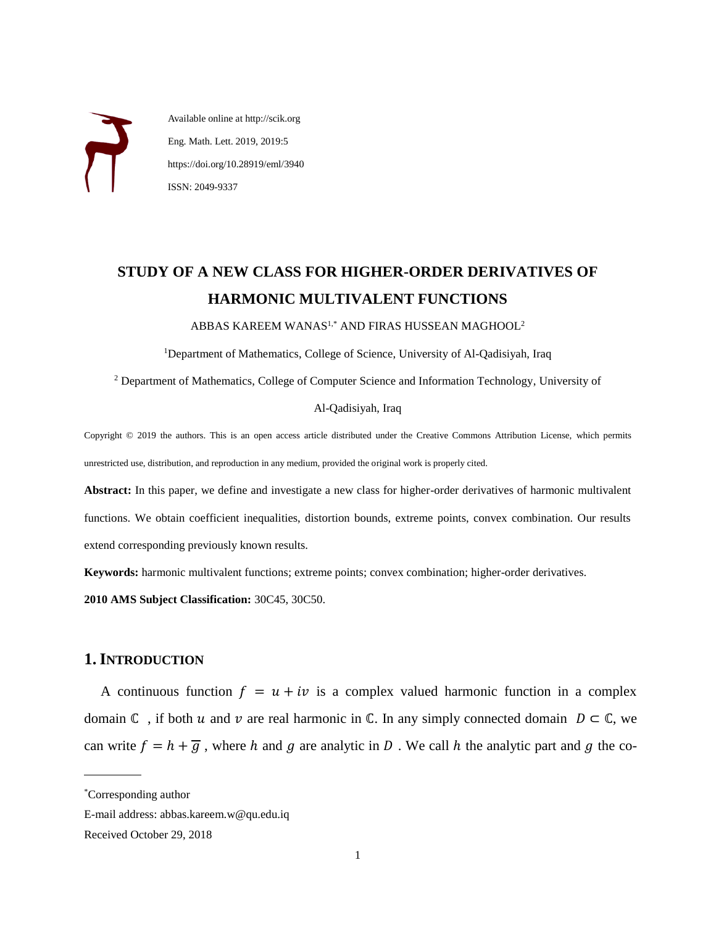Available online at http://scik.org Eng. Math. Lett. 2019, 2019:5 https://doi.org/10.28919/eml/3940 ISSN: 2049-9337

# **STUDY OF A NEW CLASS FOR HIGHER-ORDER DERIVATIVES OF HARMONIC MULTIVALENT FUNCTIONS**

ABBAS KAREEM WANAS1,\* AND FIRAS HUSSEAN MAGHOOL<sup>2</sup>

<sup>1</sup>Department of Mathematics, College of Science, University of Al-Qadisiyah, Iraq

<sup>2</sup> Department of Mathematics, College of Computer Science and Information Technology, University of

#### Al-Qadisiyah, Iraq

Copyright © 2019 the authors. This is an open access article distributed under the Creative Commons Attribution License, which permits unrestricted use, distribution, and reproduction in any medium, provided the original work is properly cited.

**Abstract:** In this paper, we define and investigate a new class for higher-order derivatives of harmonic multivalent functions. We obtain coefficient inequalities, distortion bounds, extreme points, convex combination. Our results extend corresponding previously known results.

**Keywords:** harmonic multivalent functions; extreme points; convex combination; higher-order derivatives.

**2010 AMS Subject Classification:** 30C45, 30C50.

# **1.INTRODUCTION**

A continuous function  $f = u + iv$  is a complex valued harmonic function in a complex domain  $\mathbb C$ , if both  $u$  and  $v$  are real harmonic in  $\mathbb C$ . In any simply connected domain  $D \subset \mathbb C$ , we can write  $f = h + \overline{g}$ , where h and g are analytic in D. We call h the analytic part and g the co-

 $\overline{a}$ 

<sup>\*</sup>Corresponding author

E-mail address: abbas.kareem.w@qu.edu.iq

Received October 29, 2018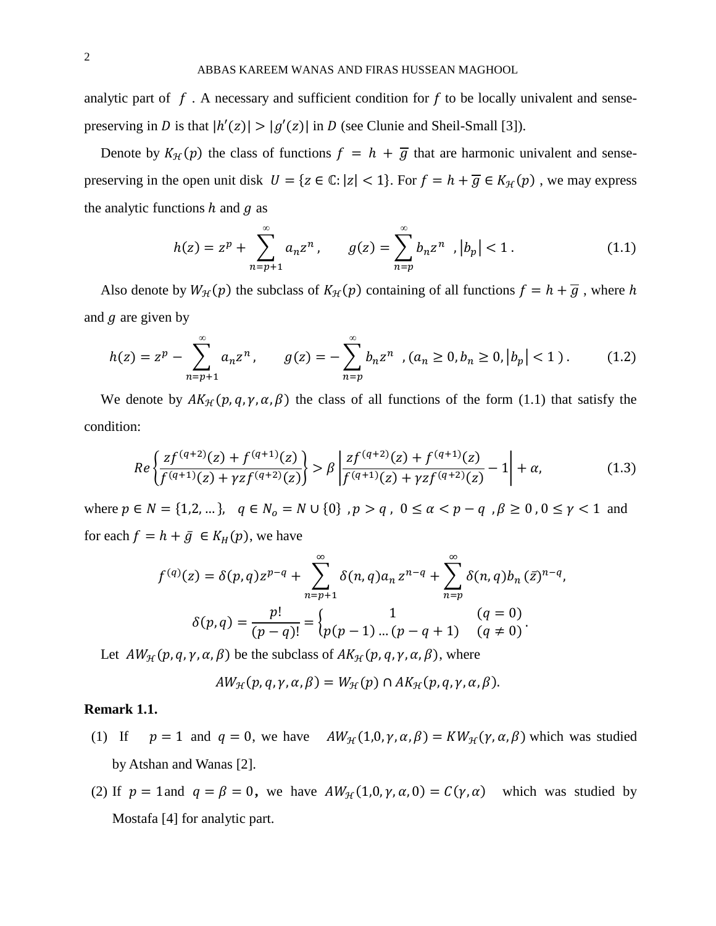analytic part of  $f$ . A necessary and sufficient condition for  $f$  to be locally univalent and sensepreserving in *D* is that  $|h'(z)| > |g'(z)|$  in *D* (see Clunie and Sheil-Small [3]).

Denote by  $K_{\mathcal{H}}(p)$  the class of functions  $f = h + \overline{g}$  that are harmonic univalent and sensepreserving in the open unit disk  $U = \{ z \in \mathbb{C} : |z| < 1 \}$ . For  $f = h + \overline{g} \in K_{\mathcal{H}}(p)$ , we may express the analytic functions  $h$  and  $g$  as

$$
h(z) = zp + \sum_{n=p+1}^{\infty} a_n z^n, \qquad g(z) = \sum_{n=p}^{\infty} b_n z^n, \, |b_p| < 1. \tag{1.1}
$$

Also denote by  $W_{\mathcal{H}}(p)$  the subclass of  $K_{\mathcal{H}}(p)$  containing of all functions  $f = h + \overline{g}$ , where h and  $q$  are given by

$$
h(z) = z^p - \sum_{n=p+1}^{\infty} a_n z^n, \qquad g(z) = -\sum_{n=p}^{\infty} b_n z^n \quad (a_n \ge 0, b_n \ge 0, |b_p| < 1). \tag{1.2}
$$

We denote by  $AK_{\mathcal{H}}(p,q,\gamma,\alpha,\beta)$  the class of all functions of the form (1.1) that satisfy the condition:

$$
Re\left\{\frac{zf^{(q+2)}(z) + f^{(q+1)}(z)}{f^{(q+1)}(z) + \gamma z f^{(q+2)}(z)}\right\} > \beta \left|\frac{zf^{(q+2)}(z) + f^{(q+1)}(z)}{f^{(q+1)}(z) + \gamma z f^{(q+2)}(z)} - 1\right| + \alpha,\tag{1.3}
$$

where  $p \in N = \{1, 2, ...\}$ ,  $q \in N_0 = N \cup \{0\}$ ,  $p > q$ ,  $0 \le \alpha < p - q$ ,  $\beta \ge 0$ ,  $0 \le \gamma < 1$  and for each  $f = h + \bar{g} \in K_H(p)$ , we have

$$
f^{(q)}(z) = \delta(p,q)z^{p-q} + \sum_{n=p+1}^{\infty} \delta(n,q)a_n z^{n-q} + \sum_{n=p}^{\infty} \delta(n,q)b_n (\bar{z})^{n-q},
$$
  

$$
\delta(p,q) = \frac{p!}{(p-q)!} = \begin{cases} 1 & (q=0) \\ p(p-1)...(p-q+1) & (q \neq 0) \end{cases}.
$$

Let  $AW_{\mathcal{H}}(p, q, \gamma, \alpha, \beta)$  be the subclass of  $AK_{\mathcal{H}}(p, q, \gamma, \alpha, \beta)$ , where

$$
AW_{\mathcal{H}}(p,q,\gamma,\alpha,\beta)=W_{\mathcal{H}}(p)\cap AK_{\mathcal{H}}(p,q,\gamma,\alpha,\beta).
$$

#### **Remark 1.1.**

- (1) If  $p = 1$  and  $q = 0$ , we have  $AW_{\mathcal{H}}(1,0, \gamma, \alpha, \beta) = KW_{\mathcal{H}}(\gamma, \alpha, \beta)$  which was studied by Atshan and Wanas [2].
- (2) If  $p = 1$  and  $q = \beta = 0$ , we have  $AW_{\mathcal{H}}(1,0,\gamma,\alpha,0) = C(\gamma,\alpha)$  which was studied by Mostafa [4] for analytic part.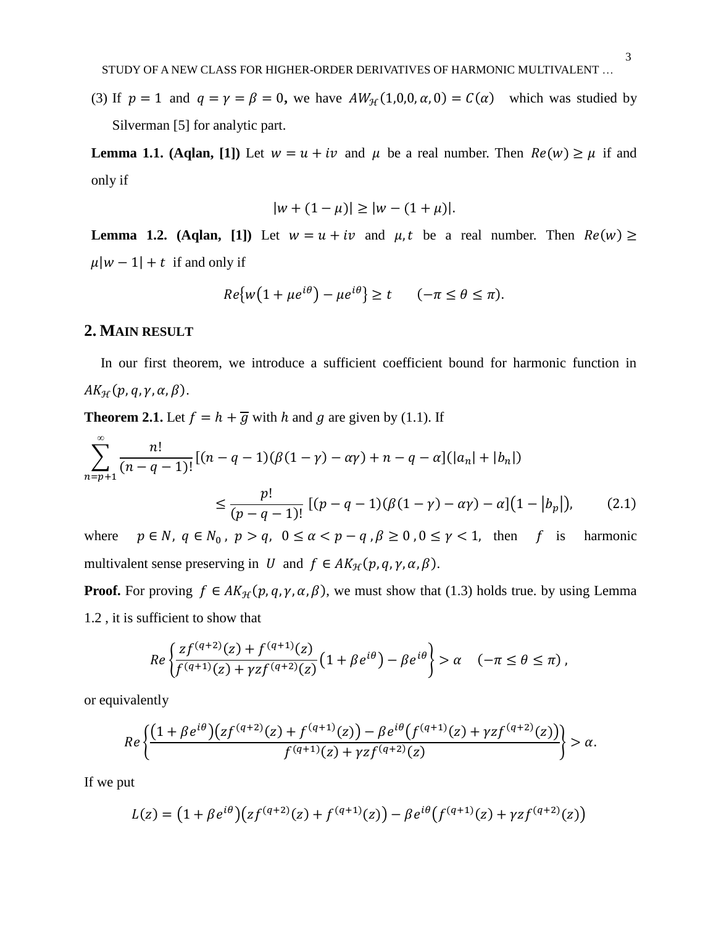(3) If  $p = 1$  and  $q = \gamma = \beta = 0$ , we have  $AW_{\mathcal{H}}(1,0,0,\alpha,0) = C(\alpha)$  which was studied by Silverman [5] for analytic part.

**Lemma 1.1.** (Aglan, [1]) Let  $w = u + iv$  and  $\mu$  be a real number. Then  $Re(w) \ge \mu$  if and only if

$$
|w + (1 - \mu)| \ge |w - (1 + \mu)|.
$$

**Lemma 1.2. (Aqlan, [1])** Let  $w = u + iv$  and  $\mu$ , t be a real number. Then  $Re(w) \ge$  $\mu | w - 1 | + t$  if and only if

$$
Re\{w\big(1+\mu e^{i\theta}\big)-\mu e^{i\theta}\} \ge t \qquad (-\pi \le \theta \le \pi).
$$

## **2. MAIN RESULT**

In our first theorem, we introduce a sufficient coefficient bound for harmonic function in  $AK_{\mathcal{H}}(p, q, \gamma, \alpha, \beta).$ 

**Theorem 2.1.** Let  $f = h + \overline{g}$  with h and g are given by (1.1). If

$$
\sum_{n=p+1}^{\infty} \frac{n!}{(n-q-1)!} [(n-q-1)(\beta(1-\gamma)-\alpha\gamma)+n-q-\alpha] (|a_n|+|b_n|)
$$
  

$$
\leq \frac{p!}{(p-q-1)!} [(p-q-1)(\beta(1-\gamma)-\alpha\gamma)-\alpha] (1-|b_p|), \qquad (2.1)
$$

where  $p \in N$ ,  $q \in N_0$ ,  $p > q$ ,  $0 \le \alpha < p - q$ ,  $\beta \ge 0$ ,  $0 \le \gamma < 1$ , then f is harmonic multivalent sense preserving in U and  $f \in AK_{\mathcal{H}}(p,q,\gamma,\alpha,\beta)$ .

**Proof.** For proving  $f \in AK_H(p,q,\gamma,\alpha,\beta)$ , we must show that (1.3) holds true. by using Lemma 1.2 , it is sufficient to show that

$$
Re\left\{\frac{zf^{(q+2)}(z)+f^{(q+1)}(z)}{f^{(q+1)}(z)+\gamma zf^{(q+2)}(z)}\left(1+\beta e^{i\theta}\right)-\beta e^{i\theta}\right\}>\alpha \quad (-\pi\leq\theta\leq\pi),
$$

or equivalently

$$
Re\left\{\frac{\left(1+\beta e^{i\theta}\right)\left(zf^{(q+2)}(z)+f^{(q+1)}(z)\right)-\beta e^{i\theta}\left(f^{(q+1)}(z)+\gamma zf^{(q+2)}(z)\right)}{f^{(q+1)}(z)+\gamma zf^{(q+2)}(z)}\right\}>\alpha.
$$

If we put

$$
L(z) = (1 + \beta e^{i\theta})(zf^{(q+2)}(z) + f^{(q+1)}(z)) - \beta e^{i\theta}(f^{(q+1)}(z) + \gamma z f^{(q+2)}(z))
$$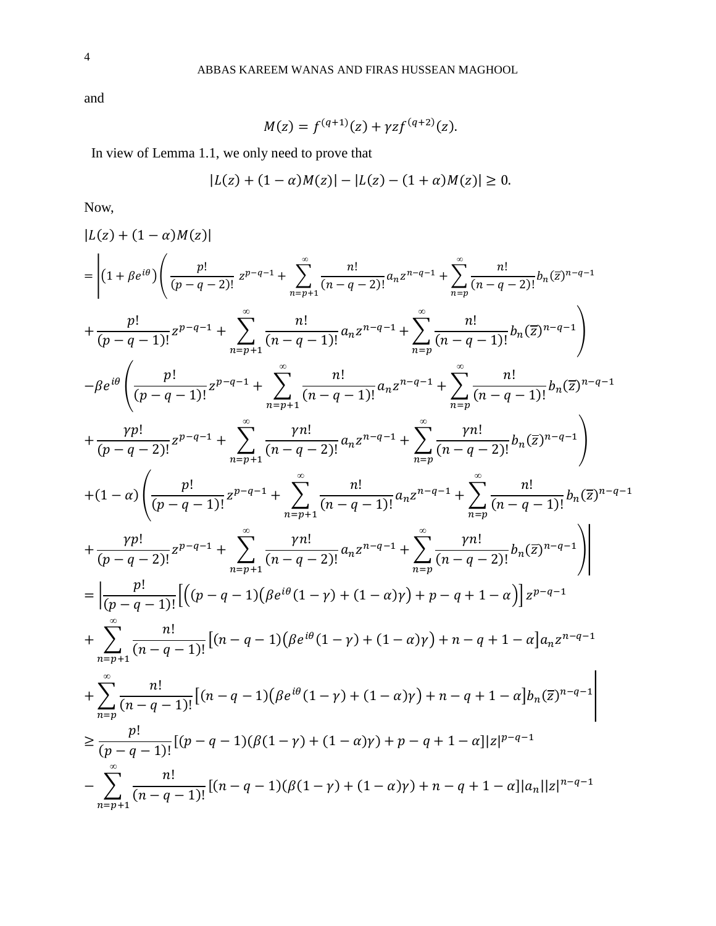and

$$
M(z) = f^{(q+1)}(z) + \gamma z f^{(q+2)}(z).
$$

In view of Lemma 1.1, we only need to prove that

$$
|L(z) + (1 - \alpha)M(z)| - |L(z) - (1 + \alpha)M(z)| \ge 0.
$$

Now,

$$
|L(z)+(1-\alpha)M(z)|
$$
\n
$$
= \left| (1+\beta e^{i\theta}) \left( \frac{p!}{(p-q-2)!} z^{p-q-1} + \sum_{n=p+1}^{\infty} \frac{n!}{(n-q-2)!} a_n z^{n-q-1} + \sum_{n=p}^{\infty} \frac{n!}{(n-q-2)!} b_n(z)^{n-q-1} \right|
$$
\n
$$
+ \frac{p!}{(p-q-1)!} z^{p-q-1} + \sum_{n=p+1}^{\infty} \frac{n!}{(n-q-1)!} a_n z^{n-q-1} + \sum_{n=p}^{\infty} \frac{n!}{(n-q-1)!} b_n(z)^{n-q-1} \right\rangle
$$
\n
$$
- \beta e^{i\theta} \left( \frac{p!}{(p-q-1)!} z^{p-q-1} + \sum_{n=p+1}^{\infty} \frac{n!}{(n-q-1)!} a_n z^{n-q-1} + \sum_{n=p}^{\infty} \frac{n!}{(n-q-1)!} b_n(z)^{n-q-1} \right|
$$
\n
$$
+ \frac{rp!}{(p-q-2)!} z^{p-q-1} + \sum_{n=p+1}^{\infty} \frac{rn!}{(n-q-2)!} a_n z^{n-q-1} + \sum_{n=p}^{\infty} \frac{rn!}{(n-q-2)!} b_n(z)^{n-q-1}
$$
\n
$$
+ (1-\alpha) \left( \frac{p!}{(p-q-1)!} z^{p-q-1} + \sum_{n=p+1}^{\infty} \frac{n!}{(n-q-1)!} a_n z^{n-q-1} + \sum_{n=p}^{\infty} \frac{rn!}{(n-q-2)!} b_n(z)^{n-q-1} \right|
$$
\n
$$
+ \frac{rp!}{(p-q-2)!} z^{p-q-1} + \sum_{n=p+1}^{\infty} \frac{rn!}{(n-q-2)!} a_n z^{n-q-1} + \sum_{n=p}^{\infty} \frac{rn!}{(n-q-2)!} b_n(z)^{n-q-1}
$$
\n
$$
+ \sum_{n=p+1}^{\infty} \frac{n!}{(n-q-1)!} \left[ ((p-q-1)(\beta e^{i\theta} (1-\gamma)+(1-\alpha)\gamma)+p-q+1-\alpha) \right] z^{p-q-1}
$$
\n
$$
+ \sum_{n=p+
$$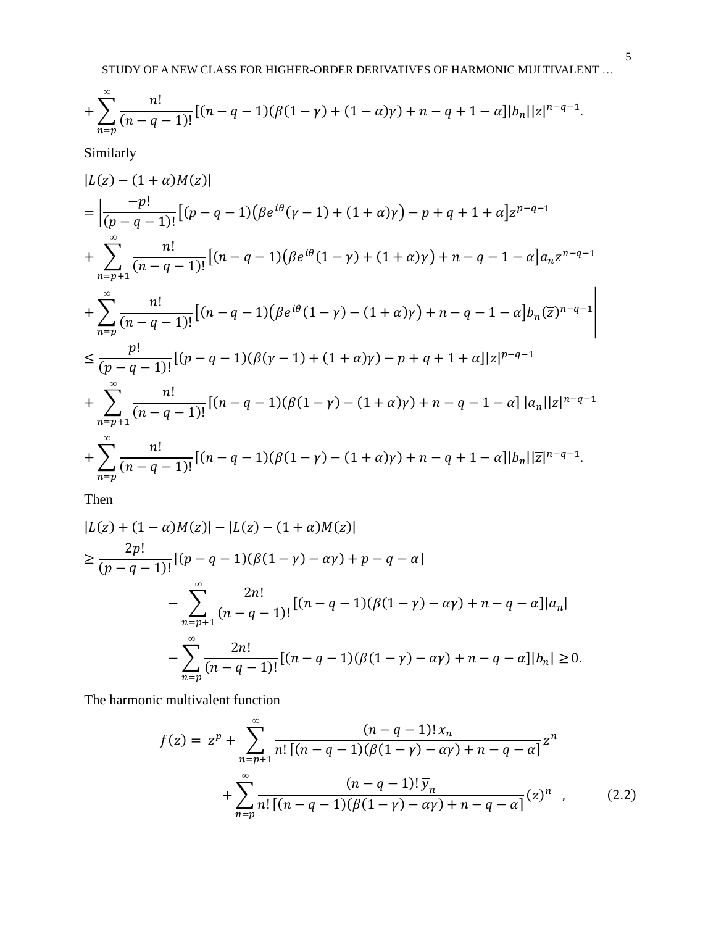$$
+\sum_{n=p}^{\infty}\frac{n!}{(n-q-1)!}[(n-q-1)(\beta(1-\gamma)+(1-\alpha)\gamma)+n-q+1-\alpha]|b_n||z|^{n-q-1}.
$$

Similarly

$$
|L(z) - (1 + \alpha)M(z)|
$$
\n
$$
= \left| \frac{-p!}{(p - q - 1)!} \left[ (p - q - 1)(\beta e^{i\theta}(\gamma - 1) + (1 + \alpha)\gamma) - p + q + 1 + \alpha \right] z^{p - q - 1} \right|
$$
\n
$$
+ \sum_{n = p+1}^{\infty} \frac{n!}{(n - q - 1)!} \left[ (n - q - 1)(\beta e^{i\theta} (1 - \gamma) + (1 + \alpha)\gamma) + n - q - 1 - \alpha \right] a_n z^{n - q - 1}
$$
\n
$$
+ \sum_{n = p}^{\infty} \frac{n!}{(n - q - 1)!} \left[ (n - q - 1)(\beta e^{i\theta} (1 - \gamma) - (1 + \alpha)\gamma) + n - q - 1 - \alpha \right] b_n (\overline{z})^{n - q - 1} \right|
$$
\n
$$
\leq \frac{p!}{(p - q - 1)!} \left[ (p - q - 1)(\beta(\gamma - 1) + (1 + \alpha)\gamma) - p + q + 1 + \alpha \right] |z|^{p - q - 1}
$$
\n
$$
+ \sum_{n = p+1}^{\infty} \frac{n!}{(n - q - 1)!} \left[ (n - q - 1)(\beta(1 - \gamma) - (1 + \alpha)\gamma) + n - q - 1 - \alpha \right] |a_n| |z|^{n - q - 1}
$$
\n
$$
+ \sum_{n = p}^{\infty} \frac{n!}{(n - q - 1)!} \left[ (n - q - 1)(\beta(1 - \gamma) - (1 + \alpha)\gamma) + n - q + 1 - \alpha \right] |b_n| |\overline{z}|^{n - q - 1}.
$$

Then

$$
|L(z) + (1 - \alpha)M(z)| - |L(z) - (1 + \alpha)M(z)|
$$
  
\n
$$
\geq \frac{2p!}{(p - q - 1)!} [(p - q - 1)(\beta(1 - \gamma) - \alpha \gamma) + p - q - \alpha]
$$
  
\n
$$
- \sum_{n=p+1}^{\infty} \frac{2n!}{(n - q - 1)!} [(n - q - 1)(\beta(1 - \gamma) - \alpha \gamma) + n - q - \alpha] |a_n|
$$
  
\n
$$
- \sum_{n=p}^{\infty} \frac{2n!}{(n - q - 1)!} [(n - q - 1)(\beta(1 - \gamma) - \alpha \gamma) + n - q - \alpha] |b_n| \geq 0.
$$

The harmonic multivalent function

$$
f(z) = z^{p} + \sum_{n=p+1}^{\infty} \frac{(n-q-1)! x_{n}}{n! [(n-q-1)(\beta(1-\gamma)-\alpha\gamma)+n-q-\alpha]} z^{n}
$$

$$
+ \sum_{n=p}^{\infty} \frac{(n-q-1)! \overline{y}_{n}}{n! [(n-q-1)(\beta(1-\gamma)-\alpha\gamma)+n-q-\alpha]} (\overline{z})^{n} , \qquad (2.2)
$$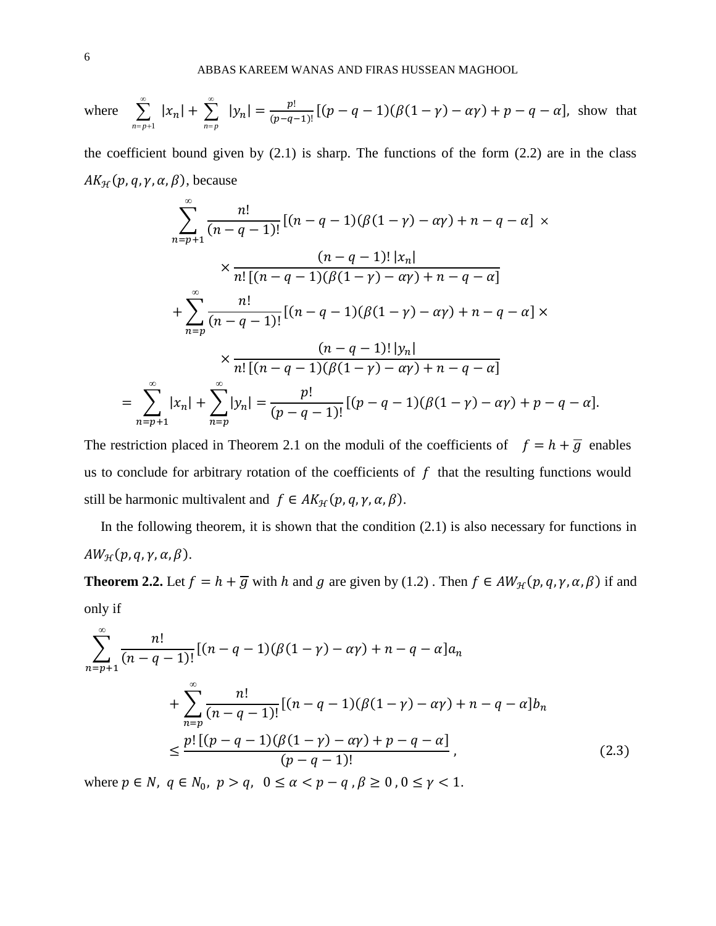where 
$$
\sum_{n=p+1}^{\infty} |x_n| + \sum_{n=p}^{\infty} |y_n| = \frac{p!}{(p-q-1)!} [(p-q-1)(\beta(1-p) - \alpha y) + p - q - \alpha],
$$
 show that

the coefficient bound given by  $(2.1)$  is sharp. The functions of the form  $(2.2)$  are in the class  $AK_{\mathcal{H}}(p, q, \gamma, \alpha, \beta)$ , because

$$
\sum_{n=p+1}^{\infty} \frac{n!}{(n-q-1)!} [(n-q-1)(\beta(1-\gamma)-\alpha\gamma)+n-q-\alpha] \times
$$
  

$$
\times \frac{(n-q-1)! |x_n|}{n! [(n-q-1)(\beta(1-\gamma)-\alpha\gamma)+n-q-\alpha]}
$$
  

$$
+ \sum_{n=p}^{\infty} \frac{n!}{(n-q-1)!} [(n-q-1)(\beta(1-\gamma)-\alpha\gamma)+n-q-\alpha] \times
$$
  

$$
\times \frac{(n-q-1)! |y_n|}{n! [(n-q-1)(\beta(1-\gamma)-\alpha\gamma)+n-q-\alpha]}
$$
  

$$
= \sum_{n=p+1}^{\infty} |x_n| + \sum_{n=p}^{\infty} |y_n| = \frac{p!}{(p-q-1)!} [(p-q-1)(\beta(1-\gamma)-\alpha\gamma)+p-q-\alpha].
$$

The restriction placed in Theorem 2.1 on the moduli of the coefficients of  $f = h + \overline{g}$  enables us to conclude for arbitrary rotation of the coefficients of  $f$  that the resulting functions would still be harmonic multivalent and  $f \in AK_{\mathcal{H}}(p,q,\gamma,\alpha,\beta)$ .

In the following theorem, it is shown that the condition  $(2.1)$  is also necessary for functions in  $AW_{\mathcal{H}}(p,q,\gamma,\alpha,\beta).$ 

**Theorem 2.2.** Let  $f = h + \overline{g}$  with h and g are given by (1.2). Then  $f \in AW_{\mathcal{H}}(p, q, \gamma, \alpha, \beta)$  if and only if

$$
\sum_{n=p+1}^{\infty} \frac{n!}{(n-q-1)!} [(n-q-1)(\beta(1-\gamma)-\alpha\gamma)+n-q-\alpha]a_n
$$
  
+
$$
\sum_{n=p}^{\infty} \frac{n!}{(n-q-1)!} [(n-q-1)(\beta(1-\gamma)-\alpha\gamma)+n-q-\alpha]b_n
$$
  

$$
\leq \frac{p! [(p-q-1)(\beta(1-\gamma)-\alpha\gamma)+p-q-\alpha]}{(p-q-1)!},
$$
 (2.3)

where  $p \in N$ ,  $q \in N_0$ ,  $p > q$ ,  $0 \le \alpha < p - q$ ,  $\beta \ge 0$ ,  $0 \le \gamma < 1$ .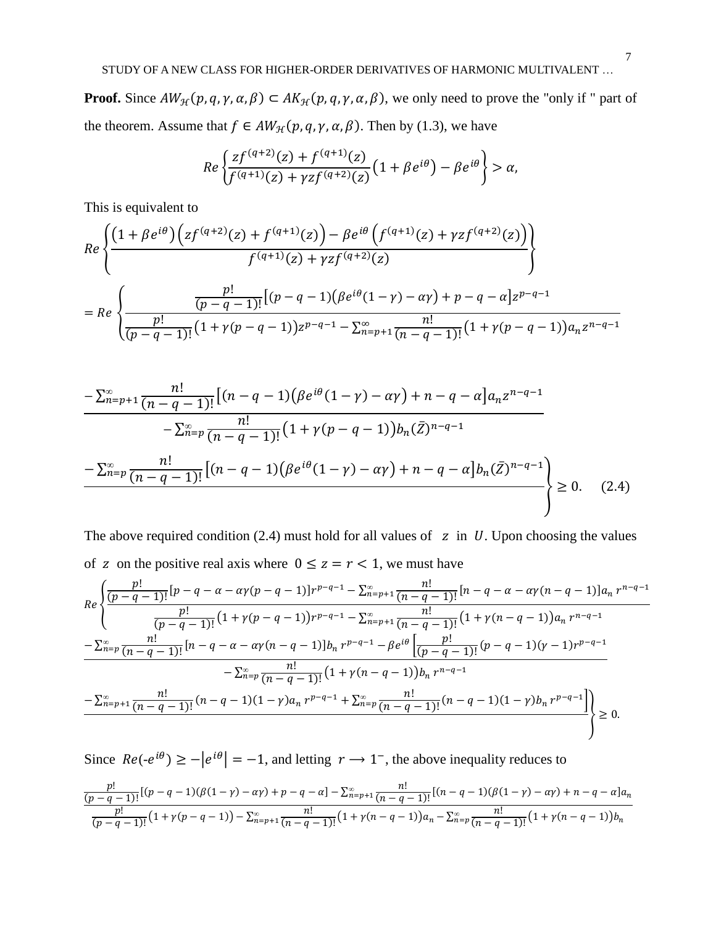**Proof.** Since  $AW_{\mathcal{H}}(p, q, \gamma, \alpha, \beta) \subset AK_{\mathcal{H}}(p, q, \gamma, \alpha, \beta)$ , we only need to prove the "only if " part of the theorem. Assume that  $f \in AW_{\mathcal{H}}(p, q, \gamma, \alpha, \beta)$ . Then by (1.3), we have

$$
Re\left\{\frac{zf^{(q+2)}(z)+f^{(q+1)}(z)}{f^{(q+1)}(z)+\gamma zf^{(q+2)}(z)}\left(1+\beta e^{i\theta}\right)-\beta e^{i\theta}\right\}>\alpha,
$$

This is equivalent to

$$
Re\left\{\frac{\left(1+\beta e^{i\theta}\right)\left(zf^{(q+2)}(z)+f^{(q+1)}(z)\right)-\beta e^{i\theta}\left(f^{(q+1)}(z)+\gamma zf^{(q+2)}(z)\right)}{f^{(q+1)}(z)+\gamma zf^{(q+2)}(z)}\right\}}\\=Re\left\{\frac{\frac{p!}{(p-q-1)!}\left[(p-q-1)\left(\beta e^{i\theta}(1-\gamma)-\alpha\gamma\right)+p-q-\alpha\right]z^{p-q-1}}{\frac{p!}{(p-q-1)!}\left(1+\gamma(p-q-1)\right)z^{p-q-1}-\sum_{n=p+1}^{\infty}\frac{n!}{(n-q-1)!}\left(1+\gamma(p-q-1)\right)a_{n}z^{n-q-1}}\right\}
$$

$$
\frac{-\sum_{n=p+1}^{\infty} \frac{n!}{(n-q-1)!} \left[ (n-q-1) (\beta e^{i\theta} (1-\gamma) - \alpha \gamma) + n - q - \alpha \right] a_n z^{n-q-1}}{-\sum_{n=p}^{\infty} \frac{n!}{(n-q-1)!} (1+\gamma (p-q-1)) b_n (\bar{Z})^{n-q-1}}
$$

$$
-\sum_{n=p}^{\infty} \frac{n!}{(n-q-1)!} \left[ (n-q-1) (\beta e^{i\theta} (1-\gamma) - \alpha \gamma) + n - q - \alpha \right] b_n (\bar{Z})^{n-q-1}} \bigg] \ge 0. \quad (2.4)
$$

The above required condition (2.4) must hold for all values of  $z$  in  $U$ . Upon choosing the values of z on the positive real axis where  $0 \le z = r < 1$ , we must have

$$
Re\left\{\frac{\frac{p!}{(p-q-1)!}[p-q-\alpha-\alpha\gamma(p-q-1)]r^{p-q-1}-\sum_{n=p+1}^{\infty}\frac{n!}{(n-q-1)!}[n-q-\alpha-\alpha\gamma(n-q-1)]a_n r^{n-q-1}}{\frac{p!}{(p-q-1)!}(1+\gamma(p-q-1))r^{p-q-1}-\sum_{n=p+1}^{\infty}\frac{n!}{(n-q-1)!}(1+\gamma(n-q-1))a_n r^{n-q-1}}-\sum_{n=p}^{\infty}\frac{n!}{(n-q-1)!}[n-q-\alpha-\alpha\gamma(n-q-1)]b_n r^{p-q-1}-\beta e^{i\theta}\frac{p!}{(p-q-1)!}(p-q-1)(\gamma-1)r^{p-q-1}}-\sum_{n=p}^{\infty}\frac{n!}{(n-q-1)!}(1+\gamma(n-q-1))b_n r^{n-q-1}-\sum_{n=p+1}^{\infty}\frac{n!}{(n-q-1)!}(n-q-1)(1-\gamma)a_n r^{p-q-1}+\sum_{n=p}^{\infty}\frac{n!}{(n-q-1)!}(n-q-1)(1-\gamma)b_n r^{p-q-1}\right\}\ge 0.
$$

Since  $Re(-e^{i\theta}) \ge -|e^{i\theta}| = -1$ , and letting  $r \to 1^-$ , the above inequality reduces to

$$
\frac{p!}{(p-q-1)!}[(p-q-1)(\beta(1-\gamma)-\alpha\gamma)+p-q-\alpha]-\sum_{n=p+1}^{\infty}\frac{n!}{(n-q-1)!}[(n-q-1)(\beta(1-\gamma)-\alpha\gamma)+n-q-\alpha]a_n
$$
  
\n
$$
\frac{p!}{(p-q-1)!}(1+\gamma(p-q-1))-\sum_{n=p+1}^{\infty}\frac{n!}{(n-q-1)!}(1+\gamma(n-q-1))a_n-\sum_{n=p}^{\infty}\frac{n!}{(n-q-1)!}(1+\gamma(n-q-1))b_n
$$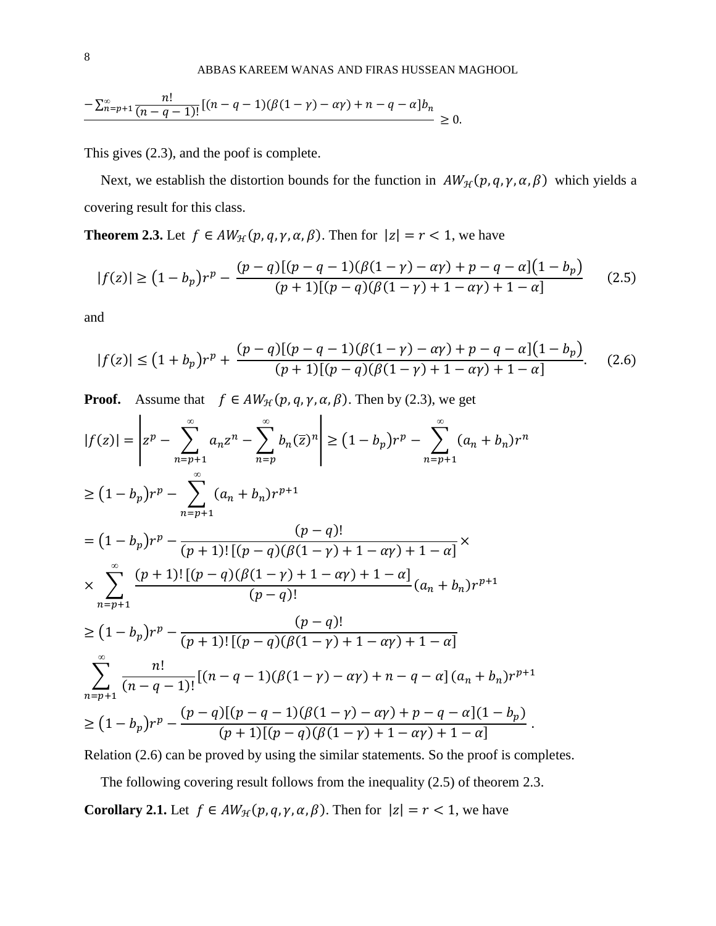$$
\frac{-\sum_{n=p+1}^{\infty}\frac{n!}{(n-q-1)!}\left[(n-q-1)(\beta(1-\gamma)-\alpha\gamma)+n-q-\alpha\right]b_n}{\geq 0}.
$$

This gives (2.3), and the poof is complete.

Next, we establish the distortion bounds for the function in  $AW_{\mathcal{H}}(p,q,\gamma,\alpha,\beta)$  which yields a covering result for this class.

**Theorem 2.3.** Let  $f \in AW_{\mathcal{H}}(p,q,\gamma,\alpha,\beta)$ . Then for  $|z| = r < 1$ , we have

$$
|f(z)| \ge (1 - b_p)r^p - \frac{(p - q)[(p - q - 1)(\beta(1 - \gamma) - \alpha\gamma) + p - q - \alpha](1 - b_p)}{(p + 1)[(p - q)(\beta(1 - \gamma) + 1 - \alpha\gamma) + 1 - \alpha]}
$$
(2.5)

and

$$
|f(z)| \le (1 + b_p)r^p + \frac{(p - q)[(p - q - 1)(\beta(1 - \gamma) - \alpha\gamma) + p - q - \alpha](1 - b_p)}{(p + 1)[(p - q)(\beta(1 - \gamma) + 1 - \alpha\gamma) + 1 - \alpha]}.
$$
 (2.6)

**Proof.** Assume that  $f \in AW_{\mathcal{H}}(p, q, \gamma, \alpha, \beta)$ . Then by (2.3), we get

$$
|f(z)| = \left| z^p - \sum_{n=p+1}^{\infty} a_n z^n - \sum_{n=p}^{\infty} b_n(\overline{z})^n \right| \ge (1 - b_p)r^p - \sum_{n=p+1}^{\infty} (a_n + b_n)r^n
$$
  
\n
$$
\ge (1 - b_p)r^p - \sum_{n=p+1}^{\infty} (a_n + b_n)r^{p+1}
$$
  
\n
$$
= (1 - b_p)r^p - \frac{(p-q)!}{(p+1)!\left[(p-q)(\beta(1-\gamma)+1-\alpha\gamma)+1-\alpha\right]} \times
$$
  
\n
$$
\times \sum_{n=p+1}^{\infty} \frac{(p+1)!\left[(p-q)(\beta(1-\gamma)+1-\alpha\gamma)+1-\alpha\right]}{(p-q)!} (a_n + b_n)r^{p+1}
$$
  
\n
$$
\ge (1 - b_p)r^p - \frac{(p-q)!}{(p+1)!\left[(p-q)(\beta(1-\gamma)+1-\alpha\gamma)+1-\alpha\right]}
$$
  
\n
$$
\sum_{n=p+1}^{\infty} \frac{n!}{(n-q-1)!} [(n-q-1)(\beta(1-\gamma)-\alpha\gamma)+n-q-\alpha] (a_n + b_n)r^{p+1}
$$
  
\n
$$
\ge (1 - b_p)r^p - \frac{(p-q)[(p-q-1)(\beta(1-\gamma)-\alpha\gamma)+p-q-\alpha](1-b_p)}{(p+1)[(p-q)(\beta(1-\gamma)+1-\alpha\gamma)+1-\alpha]}.
$$

Relation (2.6) can be proved by using the similar statements. So the proof is completes.

The following covering result follows from the inequality (2.5) of theorem 2.3. **Corollary 2.1.** Let  $f \in AW_{\mathcal{H}}(p, q, \gamma, \alpha, \beta)$ . Then for  $|z| = r < 1$ , we have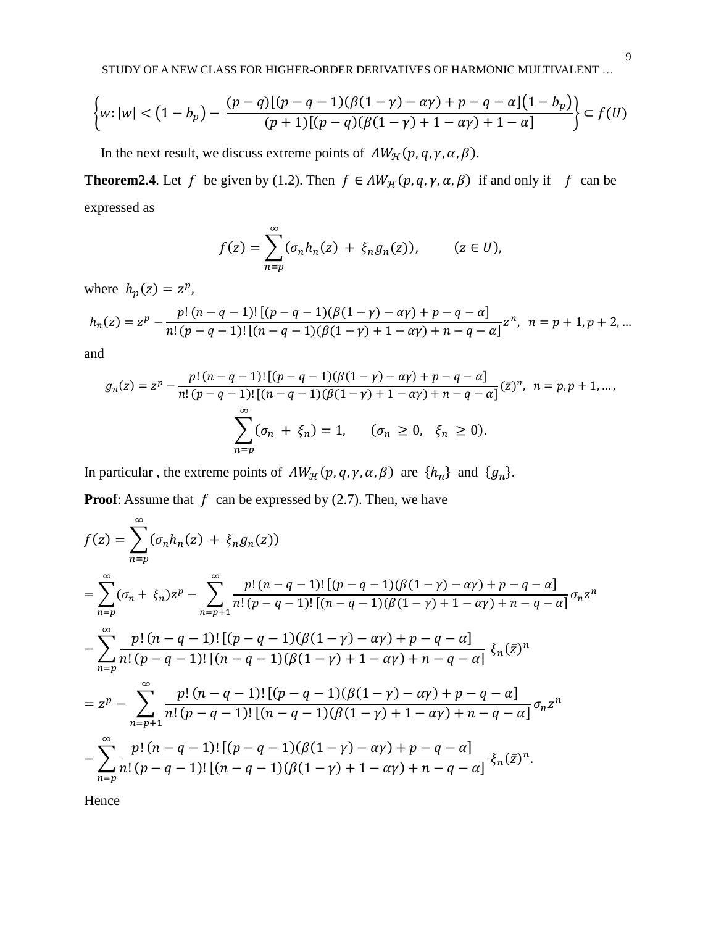STUDY OF A NEW CLASS FOR HIGHER-ORDER DERIVATIVES OF HARMONIC MULTIVALENT …

$$
\left\{w: |w| < \left(1 - b_p\right) - \frac{(p - q)\left[(p - q - 1)\left(\beta(1 - \gamma) - \alpha \gamma\right) + p - q - \alpha\right]\left(1 - b_p\right)}{(p + 1)\left[(p - q)\left(\beta(1 - \gamma) + 1 - \alpha \gamma\right) + 1 - \alpha\right]}\right\} \subset f(U)
$$

In the next result, we discuss extreme points of  $AW_{\mathcal{H}}(p, q, \gamma, \alpha, \beta)$ .

**Theorem2.4**. Let f be given by (1.2). Then  $f \in AW_{\mathcal{H}}(p, q, \gamma, \alpha, \beta)$  if and only if f can be expressed as

$$
f(z) = \sum_{n=p}^{\infty} (\sigma_n h_n(z) + \xi_n g_n(z)), \qquad (z \in U),
$$

where  $h_p(z) = z^p$ ,

$$
h_n(z) = z^p - \frac{p! (n - q - 1)! [(p - q - 1)(\beta(1 - \gamma) - \alpha \gamma) + p - q - \alpha]}{n! (p - q - 1)! [(n - q - 1)(\beta(1 - \gamma) + 1 - \alpha \gamma) + n - q - \alpha]} z^n, \quad n = p + 1, p + 2, \dots
$$

and

$$
g_n(z) = z^p - \frac{p! (n - q - 1)! [(p - q - 1)(\beta(1 - \gamma) - \alpha \gamma) + p - q - \alpha]}{n! (p - q - 1)! [(n - q - 1)(\beta(1 - \gamma) + 1 - \alpha \gamma) + n - q - \alpha]} (\bar{z})^n, \ n = p, p + 1, \dots,
$$
  

$$
\sum_{n=p}^{\infty} (\sigma_n + \xi_n) = 1, \quad (\sigma_n \ge 0, \ \xi_n \ge 0).
$$

In particular, the extreme points of  $AW_{\mathcal{H}}(p,q,\gamma,\alpha,\beta)$  are  $\{h_n\}$  and  $\{g_n\}$ .

**Proof:** Assume that  $f$  can be expressed by (2.7). Then, we have

$$
f(z) = \sum_{n=p}^{\infty} (\sigma_n h_n(z) + \xi_n g_n(z))
$$
  
= 
$$
\sum_{n=p}^{\infty} (\sigma_n + \xi_n) z^p - \sum_{n=p+1}^{\infty} \frac{p! (n-q-1)! [(p-q-1)(\beta(1-\gamma) - \alpha \gamma) + p - q - \alpha]}{n! (p-q-1)! [(n-q-1)(\beta(1-\gamma) + 1 - \alpha \gamma) + n - q - \alpha]} \sigma_n z^n
$$
  
- 
$$
\sum_{n=p}^{\infty} \frac{p! (n-q-1)! [(p-q-1)(\beta(1-\gamma) - \alpha \gamma) + p - q - \alpha]}{n! (p-q-1)! [(n-q-1)(\beta(1-\gamma) + 1 - \alpha \gamma) + n - q - \alpha]} \xi_n(\bar{z})^n
$$
  
= 
$$
z^p - \sum_{n=p+1}^{\infty} \frac{p! (n-q-1)! [(p-q-1)(\beta(1-\gamma) - \alpha \gamma) + p - q - \alpha]}{n! (p-q-1)! [(n-q-1)(\beta(1-\gamma) + 1 - \alpha \gamma) + n - q - \alpha]} \sigma_n z^n
$$
  
- 
$$
\sum_{n=p}^{\infty} \frac{p! (n-q-1)! [(p-q-1)(\beta(1-\gamma) - \alpha \gamma) + p - q - \alpha]}{n! (p-q-1)! [(n-q-1)(\beta(1-\gamma) + 1 - \alpha \gamma) + n - q - \alpha]} \xi_n(\bar{z})^n.
$$

Hence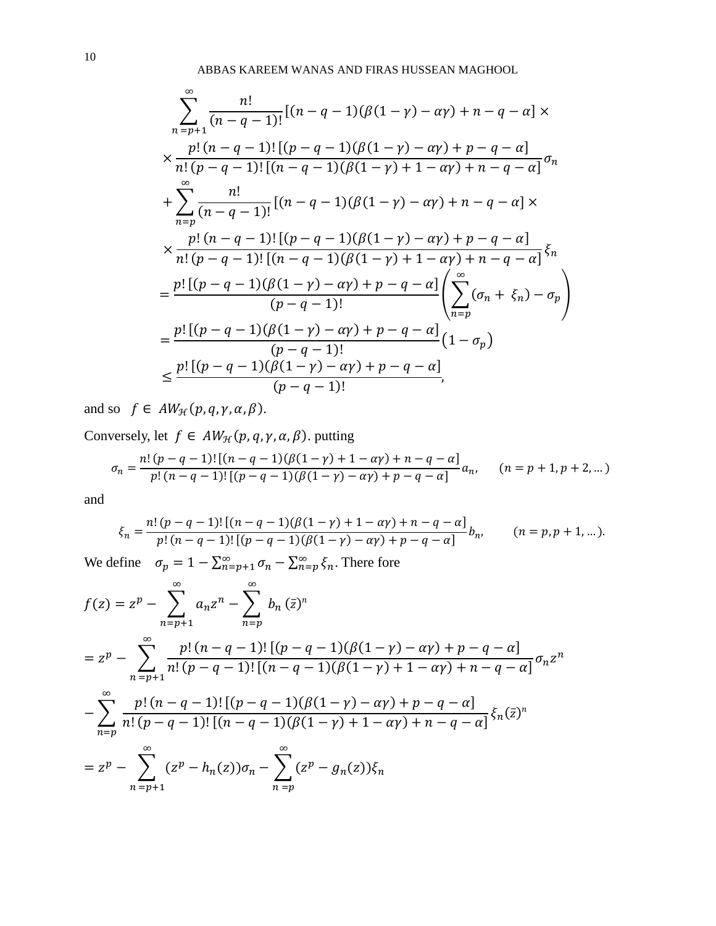$$
\sum_{n=p+1}^{\infty} \frac{n!}{(n-q-1)!} [(n-q-1)(\beta(1-\gamma)-\alpha\gamma)+n-q-\alpha] \times
$$
  
\n
$$
\times \frac{p! (n-q-1)! [(p-q-1)(\beta(1-\gamma)-\alpha\gamma)+p-q-\alpha]}{n! (p-q-1)! [(n-q-1)(\beta(1-\gamma)+1-\alpha\gamma)+n-q-\alpha]} \sigma_n
$$
  
\n+
$$
\sum_{n=p}^{\infty} \frac{n!}{(n-q-1)!} [(n-q-1)(\beta(1-\gamma)-\alpha\gamma)+n-q-\alpha] \times
$$
  
\n
$$
\times \frac{p! (n-q-1)! [(p-q-1)(\beta(1-\gamma)-\alpha\gamma)+p-q-\alpha]}{n! (p-q-1)! [(n-q-1)(\beta(1-\gamma)+1-\alpha\gamma)+n-q-\alpha]} \xi_n
$$
  
\n=
$$
\frac{p! [(p-q-1)(\beta(1-\gamma)-\alpha\gamma)+p-q-\alpha]}{(p-q-1)!} \left( \sum_{n=p}^{\infty} (\sigma_n + \xi_n) - \sigma_p \right)
$$
  
\n=
$$
\frac{p! [(p-q-1)(\beta(1-\gamma)-\alpha\gamma)+p-q-\alpha]}{(p-q-1)!} (1-\sigma_p)
$$
  
\n
$$
\leq \frac{p! [(p-q-1)(\beta(1-\gamma)-\alpha\gamma)+p-q-\alpha]}{(p-q-1)!},
$$

and so  $f \in AW_{\mathcal{H}}(p,q,\gamma,\alpha,\beta)$ .

Conversely, let  $f \in AW_{\mathcal{H}}(p,q,\gamma,\alpha,\beta)$ . putting

$$
\sigma_n = \frac{n! \ (p - q - 1)! \left[ (n - q - 1) (\beta (1 - \gamma) + 1 - \alpha \gamma) + n - q - \alpha \right]}{p! \ (n - q - 1)! \left[ (p - q - 1) (\beta (1 - \gamma) - \alpha \gamma) + p - q - \alpha \right]} a_n, \qquad (n = p + 1, p + 2, \dots)
$$

and

$$
\xi_n = \frac{n! (p - q - 1)! [(n - q - 1)(\beta(1 - \gamma) + 1 - \alpha \gamma) + n - q - \alpha]}{p! (n - q - 1)! [(p - q - 1)(\beta(1 - \gamma) - \alpha \gamma) + p - q - \alpha]} b_n, \qquad (n = p, p + 1, \dots).
$$

We define  $\sigma_p = 1 - \sum_{n=p+1}^{\infty} \sigma_n - \sum_{n=p}^{\infty} \xi_n$ . There fore

$$
f(z) = z^{p} - \sum_{n=p+1}^{\infty} a_{n} z^{n} - \sum_{n=p}^{\infty} b_{n} (\bar{z})^{n}
$$
  
=  $z^{p} - \sum_{n=p+1}^{\infty} \frac{p! (n - q - 1)! [(p - q - 1)(\beta(1 - \gamma) - \alpha\gamma) + p - q - \alpha]}{n! (p - q - 1)! [(n - q - 1)(\beta(1 - \gamma) + 1 - \alpha\gamma) + n - q - \alpha]} \sigma_{n} z^{n}$   

$$
- \sum_{n=p}^{\infty} \frac{p! (n - q - 1)! [(p - q - 1)(\beta(1 - \gamma) - \alpha\gamma) + p - q - \alpha]}{n! (p - q - 1)! [(n - q - 1)(\beta(1 - \gamma) + 1 - \alpha\gamma) + n - q - \alpha]} \xi_{n} (\bar{z})^{n}
$$
  
=  $z^{p} - \sum_{n=p+1}^{\infty} (z^{p} - h_{n}(z)) \sigma_{n} - \sum_{n=p}^{\infty} (z^{p} - g_{n}(z)) \xi_{n}$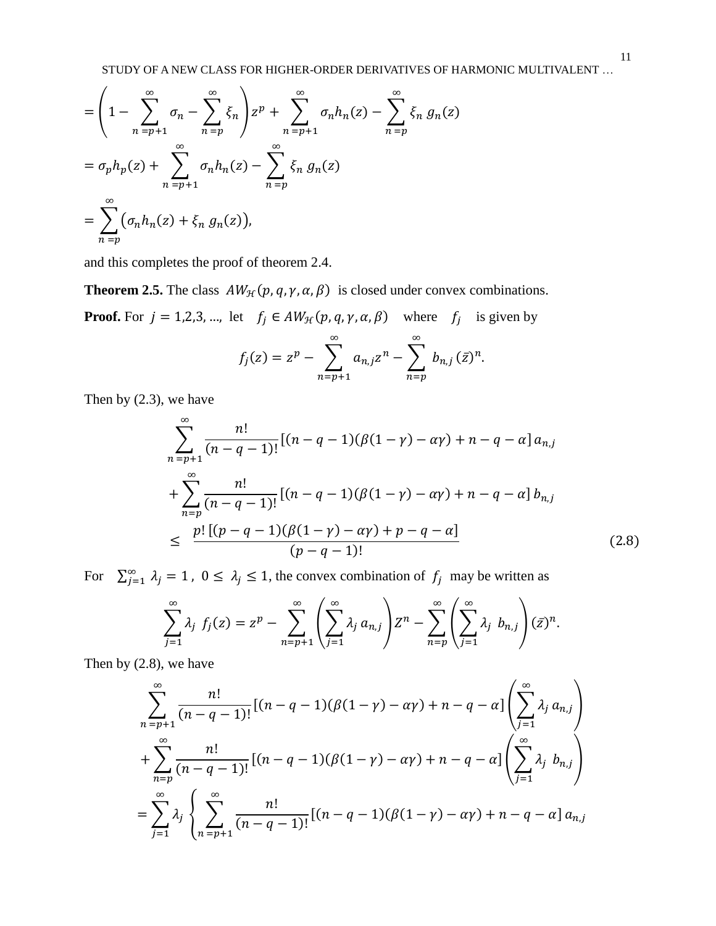STUDY OF A NEW CLASS FOR HIGHER-ORDER DERIVATIVES OF HARMONIC MULTIVALENT …

$$
= \left(1 - \sum_{n=p+1}^{\infty} \sigma_n - \sum_{n=p}^{\infty} \xi_n\right) z^p + \sum_{n=p+1}^{\infty} \sigma_n h_n(z) - \sum_{n=p}^{\infty} \xi_n g_n(z)
$$
  
=  $\sigma_p h_p(z) + \sum_{n=p+1}^{\infty} \sigma_n h_n(z) - \sum_{n=p}^{\infty} \xi_n g_n(z)$   
=  $\sum_{n=p}^{\infty} (\sigma_n h_n(z) + \xi_n g_n(z)),$ 

and this completes the proof of theorem 2.4.

**Theorem 2.5.** The class  $AW_{\mathcal{H}}(p, q, \gamma, \alpha, \beta)$  is closed under convex combinations.

**Proof.** For  $j = 1,2,3,...$ , let  $f_j \in AW_{\mathcal{H}}(p,q,\gamma,\alpha,\beta)$  where  $f_j$  is given by

$$
f_j(z) = z^p - \sum_{n=p+1}^{\infty} a_{n,j} z^n - \sum_{n=p}^{\infty} b_{n,j} (\bar{z})^n.
$$

Then by (2.3), we have

$$
\sum_{n=p+1}^{\infty} \frac{n!}{(n-q-1)!} [(n-q-1)(\beta(1-\gamma)-\alpha\gamma)+n-q-\alpha] a_{n,j}
$$
  
+
$$
\sum_{n=p}^{\infty} \frac{n!}{(n-q-1)!} [(n-q-1)(\beta(1-\gamma)-\alpha\gamma)+n-q-\alpha] b_{n,j}
$$
  

$$
\leq \frac{p! [(p-q-1)(\beta(1-\gamma)-\alpha\gamma)+p-q-\alpha]}{(p-q-1)!}
$$
(2.8)

For  $\sum_{j=1}^{\infty} \lambda_j = 1$ ,  $0 \le \lambda_j \le 1$ , the convex combination of  $f_j$  may be written as

$$
\sum_{j=1}^{\infty} \lambda_j f_j(z) = z^p - \sum_{n=p+1}^{\infty} \left( \sum_{j=1}^{\infty} \lambda_j a_{n,j} \right) Z^n - \sum_{n=p}^{\infty} \left( \sum_{j=1}^{\infty} \lambda_j b_{n,j} \right) (\bar{z})^n.
$$

Then by (2.8), we have

$$
\sum_{n=p+1}^{\infty} \frac{n!}{(n-q-1)!} [(n-q-1)(\beta(1-\gamma)-\alpha\gamma)+n-q-\alpha] \left(\sum_{j=1}^{\infty} \lambda_j a_{n,j}\right) +\sum_{n=p}^{\infty} \frac{n!}{(n-q-1)!} [(n-q-1)(\beta(1-\gamma)-\alpha\gamma)+n-q-\alpha] \left(\sum_{j=1}^{\infty} \lambda_j b_{n,j}\right) =\sum_{j=1}^{\infty} \lambda_j \left\{\sum_{n=p+1}^{\infty} \frac{n!}{(n-q-1)!} [(n-q-1)(\beta(1-\gamma)-\alpha\gamma)+n-q-\alpha] a_{n,j}\right\}
$$